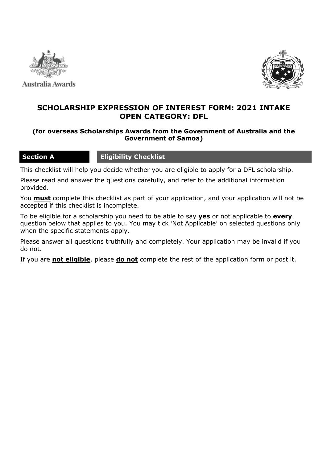

Australia Awards



## **SCHOLARSHIP EXPRESSION OF INTEREST FORM: 2021 INTAKE OPEN CATEGORY: DFL**

## **(for overseas Scholarships Awards from the Government of Australia and the Government of Samoa)**

## **Section A Eligibility Checklist**

This checklist will help you decide whether you are eligible to apply for a DFL scholarship.

Please read and answer the questions carefully, and refer to the additional information provided.

You **must** complete this checklist as part of your application, and your application will not be accepted if this checklist is incomplete.

To be eligible for a scholarship you need to be able to say **yes** or not applicable to **every** question below that applies to you. You may tick 'Not Applicable' on selected questions only when the specific statements apply.

Please answer all questions truthfully and completely. Your application may be invalid if you do not.

If you are **not eligible**, please **do not** complete the rest of the application form or post it.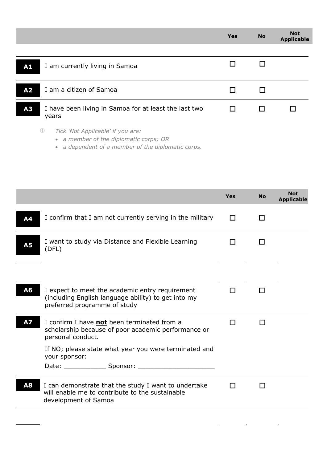|                |                                                                                                           | <b>Yes</b> | <b>No</b> | <b>Not</b><br><b>Applicable</b> |
|----------------|-----------------------------------------------------------------------------------------------------------|------------|-----------|---------------------------------|
|                |                                                                                                           |            |           |                                 |
| ${\bf A1}$     | I am currently living in Samoa                                                                            |            |           |                                 |
| A <sub>2</sub> | I am a citizen of Samoa                                                                                   |            |           |                                 |
|                |                                                                                                           |            |           |                                 |
| A3             | I have been living in Samoa for at least the last two<br>years                                            |            |           |                                 |
|                | $\circled{\scriptstyle 1}$<br>Tick 'Not Applicable' if you are:<br>• a member of the diplomatic corps; OR |            |           |                                 |

|  |  | • a dependent of a member of the diplomatic corps. |  |  |  |  |  |
|--|--|----------------------------------------------------|--|--|--|--|--|
|--|--|----------------------------------------------------|--|--|--|--|--|

|           |                                                                                                                                        | <b>Yes</b> | <b>No</b> | <b>Not</b><br><b>Applicable</b> |
|-----------|----------------------------------------------------------------------------------------------------------------------------------------|------------|-----------|---------------------------------|
| Α4        | I confirm that I am not currently serving in the military                                                                              | П          |           |                                 |
| <b>A5</b> | I want to study via Distance and Flexible Learning<br>(DFL)                                                                            |            |           |                                 |
|           |                                                                                                                                        |            |           |                                 |
| A6        | I expect to meet the academic entry requirement<br>(including English language ability) to get into my<br>preferred programme of study | l I        |           |                                 |
| <b>A7</b> | I confirm I have <b>not</b> been terminated from a<br>scholarship because of poor academic performance or<br>personal conduct.         | ΙI         |           |                                 |
|           | If NO; please state what year you were terminated and<br>your sponsor:                                                                 |            |           |                                 |
|           |                                                                                                                                        |            |           |                                 |
| A8        | I can demonstrate that the study I want to undertake<br>will enable me to contribute to the sustainable<br>development of Samoa        |            |           |                                 |
|           |                                                                                                                                        |            |           |                                 |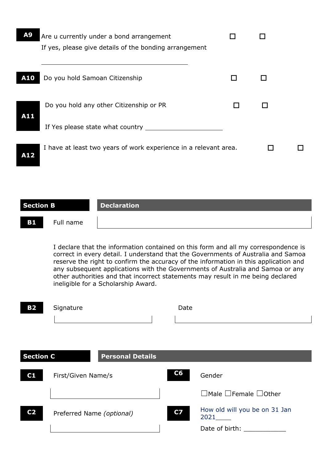| A <sub>9</sub> | Are u currently under a bond arrangement                         |  |  |
|----------------|------------------------------------------------------------------|--|--|
|                | If yes, please give details of the bonding arrangement           |  |  |
|                |                                                                  |  |  |
| A10            | Do you hold Samoan Citizenship                                   |  |  |
| A11            | Do you hold any other Citizenship or PR                          |  |  |
|                | If Yes please state what country                                 |  |  |
| A12            | I have at least two years of work experience in a relevant area. |  |  |
|                |                                                                  |  |  |

| Section B |           | <b>Declaration</b> |
|-----------|-----------|--------------------|
| <b>B1</b> | Full name |                    |

I declare that the information contained on this form and all my correspondence is correct in every detail. I understand that the Governments of Australia and Samoa reserve the right to confirm the accuracy of the information in this application and any subsequent applications with the Governments of Australia and Samoa or any other authorities and that incorrect statements may result in me being declared ineligible for a Scholarship Award.

| <b>B2</b>        | Signature                 | Date      |                                                                                                                                                                                                                               |
|------------------|---------------------------|-----------|-------------------------------------------------------------------------------------------------------------------------------------------------------------------------------------------------------------------------------|
|                  |                           |           |                                                                                                                                                                                                                               |
|                  |                           |           |                                                                                                                                                                                                                               |
|                  |                           |           |                                                                                                                                                                                                                               |
| <b>Section C</b> | <b>Personal Details</b>   |           |                                                                                                                                                                                                                               |
| C1               | First/Given Name/s        | C6        | Gender                                                                                                                                                                                                                        |
|                  |                           |           | $\Box$ Male $\Box$ Female $\Box$ Other                                                                                                                                                                                        |
| C <sub>2</sub>   | Preferred Name (optional) | <b>C7</b> | How old will you be on 31 Jan<br>2021                                                                                                                                                                                         |
|                  |                           |           | Date of birth: The control of the control of the control of the control of the control of the control of the control of the control of the control of the control of the control of the control of the control of the control |